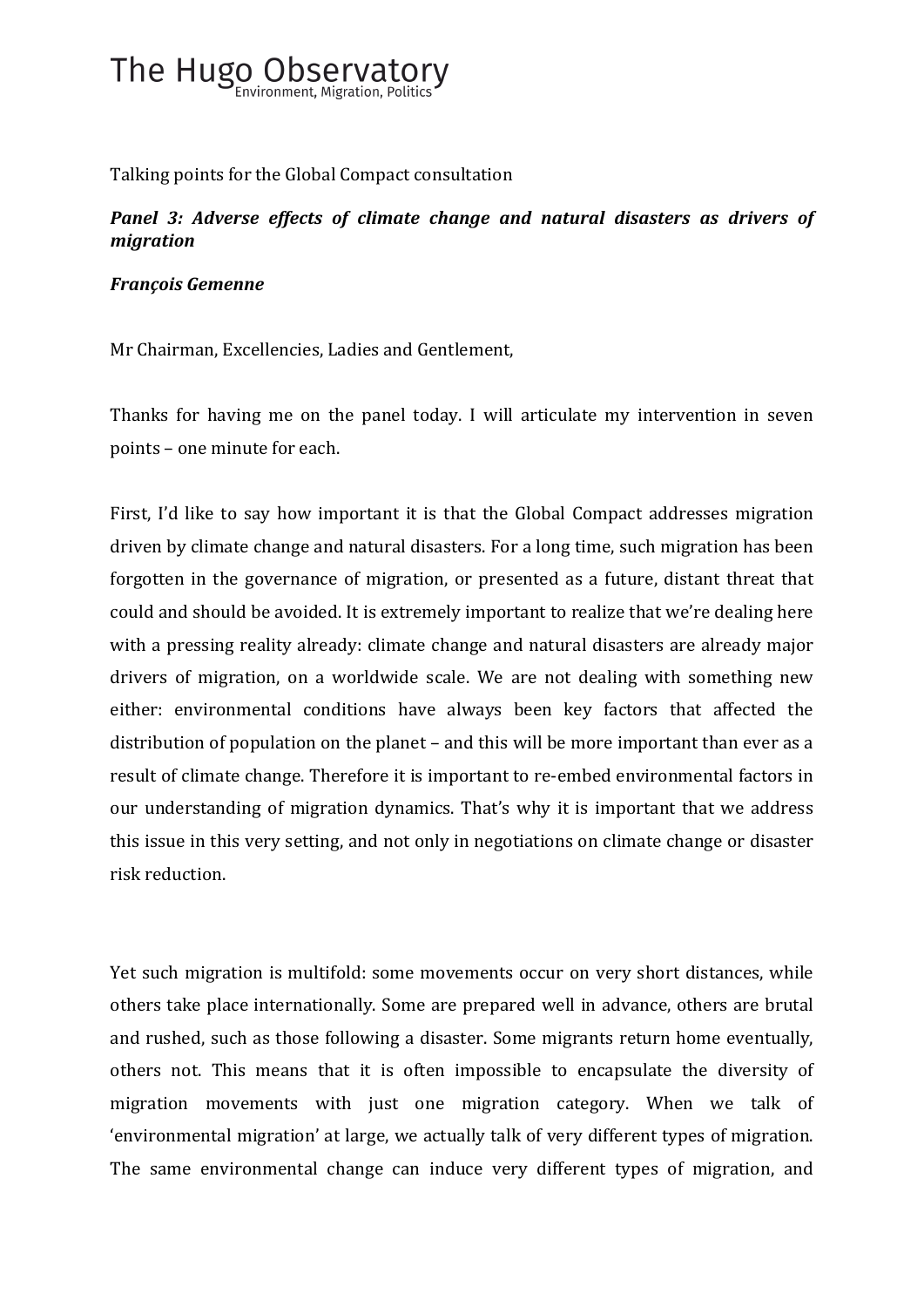

Talking points for the Global Compact consultation

## *Panel 3: Adverse effects of climate change and natural disasters as drivers of migration*

## *François Gemenne*

Mr Chairman, Excellencies, Ladies and Gentlement,

Thanks for having me on the panel today. I will articulate my intervention in seven points - one minute for each.

First, I'd like to say how important it is that the Global Compact addresses migration driven by climate change and natural disasters. For a long time, such migration has been forgotten in the governance of migration, or presented as a future, distant threat that could and should be avoided. It is extremely important to realize that we're dealing here with a pressing reality already: climate change and natural disasters are already major drivers of migration, on a worldwide scale. We are not dealing with something new either: environmental conditions have always been key factors that affected the distribution of population on the planet – and this will be more important than ever as a result of climate change. Therefore it is important to re-embed environmental factors in our understanding of migration dynamics. That's why it is important that we address this issue in this very setting, and not only in negotiations on climate change or disaster risk reduction.

Yet such migration is multifold: some movements occur on very short distances, while others take place internationally. Some are prepared well in advance, others are brutal and rushed, such as those following a disaster. Some migrants return home eventually, others not. This means that it is often impossible to encapsulate the diversity of migration movements with just one migration category. When we talk of 'environmental migration' at large, we actually talk of very different types of migration. The same environmental change can induce very different types of migration, and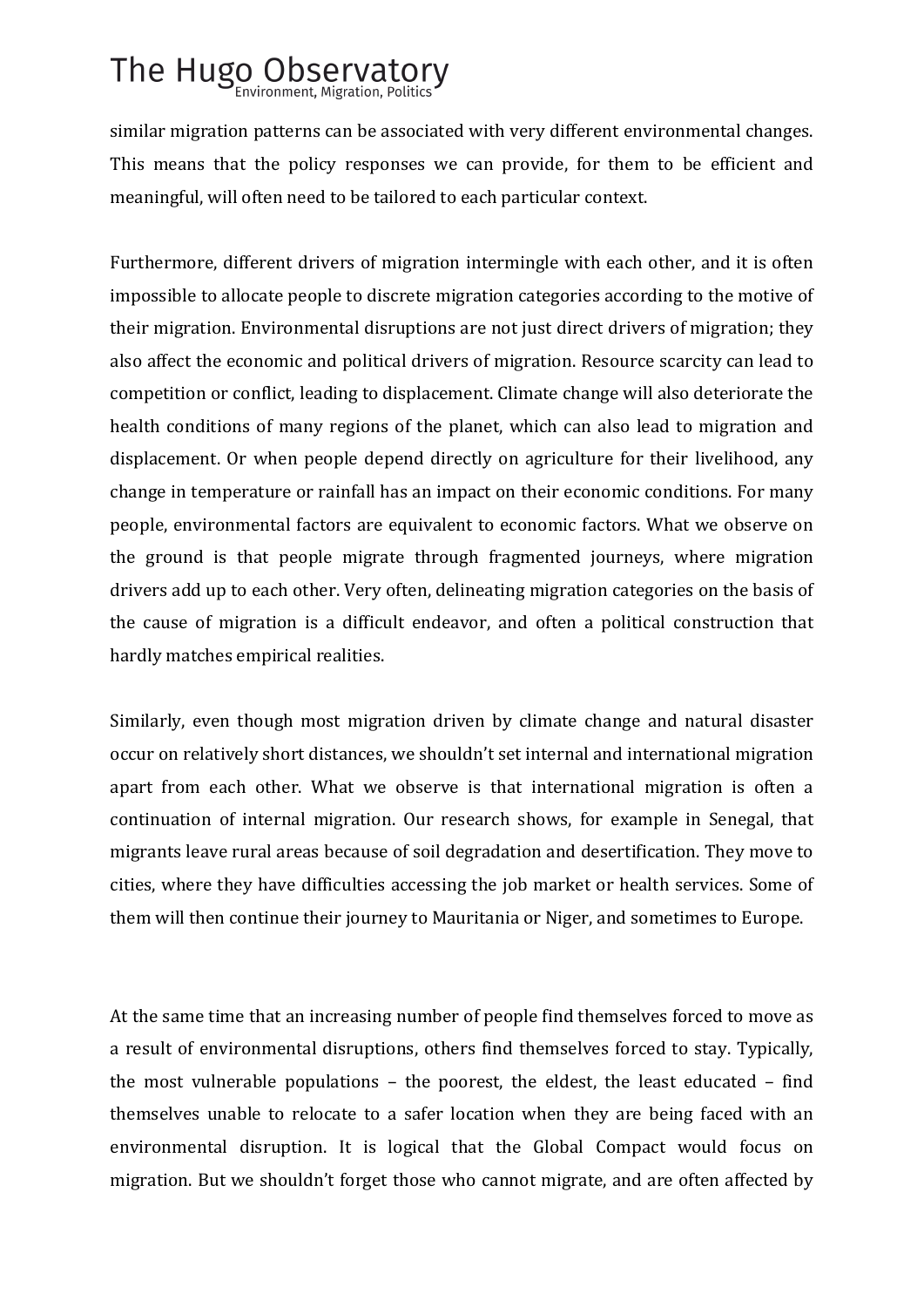## The Hugo Observatory

similar migration patterns can be associated with very different environmental changes. This means that the policy responses we can provide, for them to be efficient and meaningful, will often need to be tailored to each particular context.

Furthermore, different drivers of migration intermingle with each other, and it is often impossible to allocate people to discrete migration categories according to the motive of their migration. Environmental disruptions are not just direct drivers of migration; they also affect the economic and political drivers of migration. Resource scarcity can lead to competition or conflict, leading to displacement. Climate change will also deteriorate the health conditions of many regions of the planet, which can also lead to migration and displacement. Or when people depend directly on agriculture for their livelihood, any change in temperature or rainfall has an impact on their economic conditions. For many people, environmental factors are equivalent to economic factors. What we observe on the ground is that people migrate through fragmented journeys, where migration drivers add up to each other. Very often, delineating migration categories on the basis of the cause of migration is a difficult endeavor, and often a political construction that hardly matches empirical realities.

Similarly, even though most migration driven by climate change and natural disaster occur on relatively short distances, we shouldn't set internal and international migration apart from each other. What we observe is that international migration is often a continuation of internal migration. Our research shows, for example in Senegal, that migrants leave rural areas because of soil degradation and desertification. They move to cities, where they have difficulties accessing the job market or health services. Some of them will then continue their journey to Mauritania or Niger, and sometimes to Europe.

At the same time that an increasing number of people find themselves forced to move as a result of environmental disruptions, others find themselves forced to stay. Typically, the most vulnerable populations  $-$  the poorest, the eldest, the least educated  $-$  find themselves unable to relocate to a safer location when they are being faced with an environmental disruption. It is logical that the Global Compact would focus on migration. But we shouldn't forget those who cannot migrate, and are often affected by